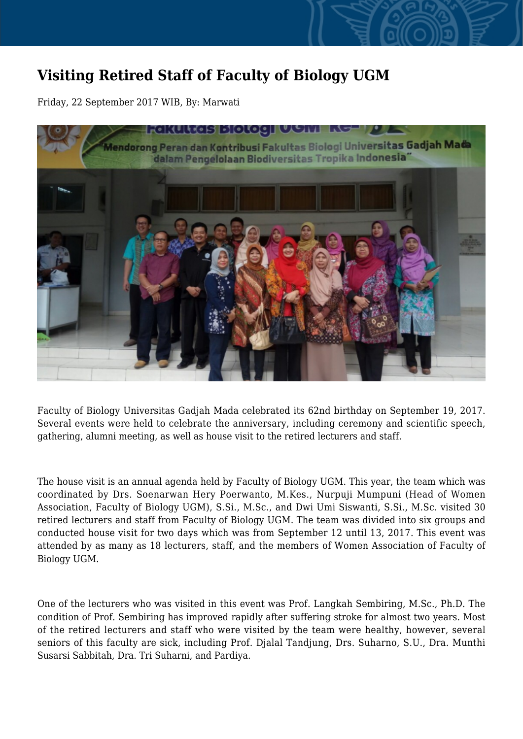## **Visiting Retired Staff of Faculty of Biology UGM**

Friday, 22 September 2017 WIB, By: Marwati



Faculty of Biology Universitas Gadjah Mada celebrated its 62nd birthday on September 19, 2017. Several events were held to celebrate the anniversary, including ceremony and scientific speech, gathering, alumni meeting, as well as house visit to the retired lecturers and staff.

The house visit is an annual agenda held by Faculty of Biology UGM. This year, the team which was coordinated by Drs. Soenarwan Hery Poerwanto, M.Kes., Nurpuji Mumpuni (Head of Women Association, Faculty of Biology UGM), S.Si., M.Sc., and Dwi Umi Siswanti, S.Si., M.Sc. visited 30 retired lecturers and staff from Faculty of Biology UGM. The team was divided into six groups and conducted house visit for two days which was from September 12 until 13, 2017. This event was attended by as many as 18 lecturers, staff, and the members of Women Association of Faculty of Biology UGM.

One of the lecturers who was visited in this event was Prof. Langkah Sembiring, M.Sc., Ph.D. The condition of Prof. Sembiring has improved rapidly after suffering stroke for almost two years. Most of the retired lecturers and staff who were visited by the team were healthy, however, several seniors of this faculty are sick, including Prof. Djalal Tandjung, Drs. Suharno, S.U., Dra. Munthi Susarsi Sabbitah, Dra. Tri Suharni, and Pardiya.